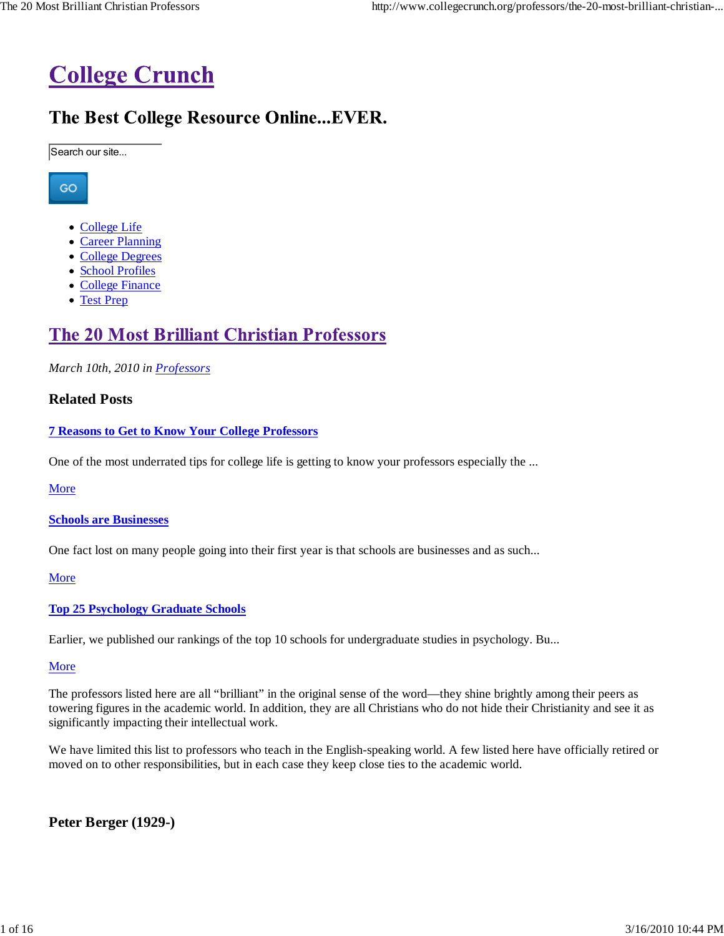

# The Best College Resource Online... EVER.

Search our site...

GO

- College Life
- Career Planning
- College Degrees
- School Profiles
- College Finance
- Test Prep

# **The 20 Most Brilliant Christian Professors**

*March 10th, 2010 in Professors*

### **Related Posts**

#### **7 Reasons to Get to Know Your College Professors**

One of the most underrated tips for college life is getting to know your professors especially the ...

More

**Schools are Businesses**

One fact lost on many people going into their first year is that schools are businesses and as such...

More

#### **Top 25 Psychology Graduate Schools**

Earlier, we published our rankings of the top 10 schools for undergraduate studies in psychology. Bu...

**More** 

The professors listed here are all "brilliant" in the original sense of the word—they shine brightly among their peers as towering figures in the academic world. In addition, they are all Christians who do not hide their Christianity and see it as significantly impacting their intellectual work.

We have limited this list to professors who teach in the English-speaking world. A few listed here have officially retired or moved on to other responsibilities, but in each case they keep close ties to the academic world.

**Peter Berger (1929-)**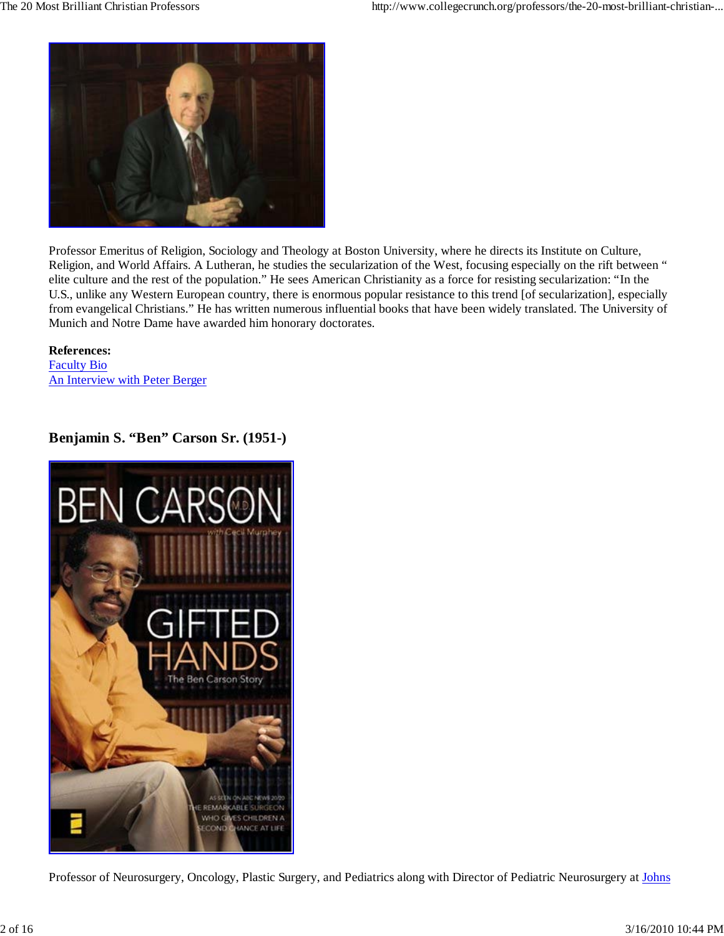

Professor Emeritus of Religion, Sociology and Theology at Boston University, where he directs its Institute on Culture, Religion, and World Affairs. A Lutheran, he studies the secularization of the West, focusing especially on the rift between " elite culture and the rest of the population." He sees American Christianity as a force for resisting secularization: "In the U.S., unlike any Western European country, there is enormous popular resistance to this trend [of secularization], especially from evangelical Christians." He has written numerous influential books that have been widely translated. The University of Munich and Notre Dame have awarded him honorary doctorates.

**References:** Faculty Bio An Interview with Peter Berger

## **Benjamin S. "Ben" Carson Sr. (1951-)**



Professor of Neurosurgery, Oncology, Plastic Surgery, and Pediatrics along with Director of Pediatric Neurosurgery at Johns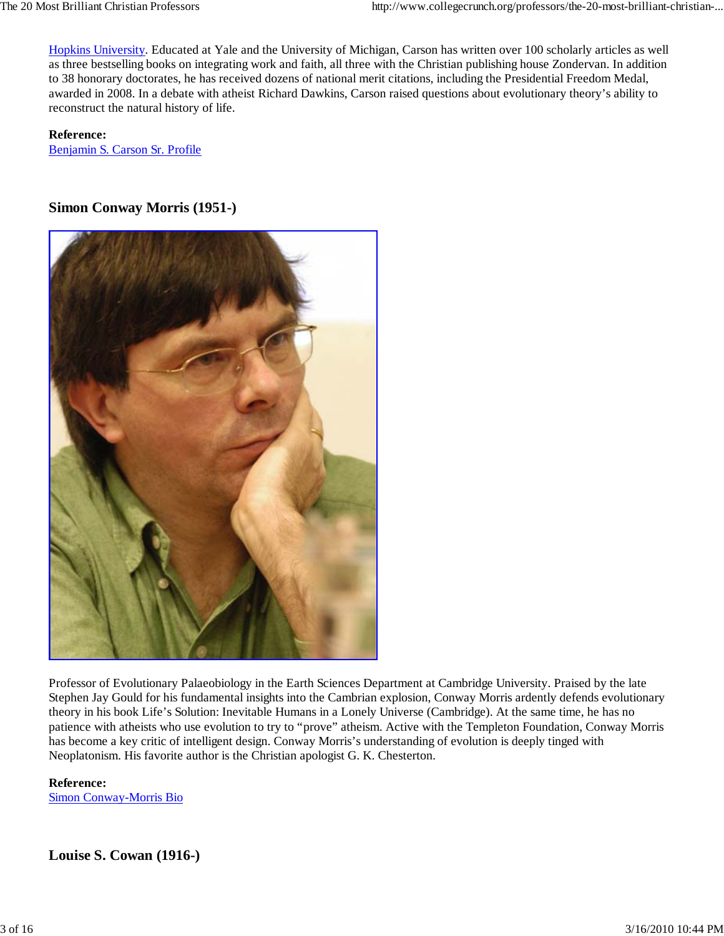Hopkins University. Educated at Yale and the University of Michigan, Carson has written over 100 scholarly articles as well as three bestselling books on integrating work and faith, all three with the Christian publishing house Zondervan. In addition to 38 honorary doctorates, he has received dozens of national merit citations, including the Presidential Freedom Medal, awarded in 2008. In a debate with atheist Richard Dawkins, Carson raised questions about evolutionary theory's ability to reconstruct the natural history of life.

**Reference:** Benjamin S. Carson Sr. Profile

## **Simon Conway Morris (1951-)**



Professor of Evolutionary Palaeobiology in the Earth Sciences Department at Cambridge University. Praised by the late Stephen Jay Gould for his fundamental insights into the Cambrian explosion, Conway Morris ardently defends evolutionary theory in his book Life's Solution: Inevitable Humans in a Lonely Universe (Cambridge). At the same time, he has no patience with atheists who use evolution to try to "prove" atheism. Active with the Templeton Foundation, Conway Morris has become a key critic of intelligent design. Conway Morris's understanding of evolution is deeply tinged with Neoplatonism. His favorite author is the Christian apologist G. K. Chesterton.

**Reference:** Simon Conway-Morris Bio

## **Louise S. Cowan (1916-)**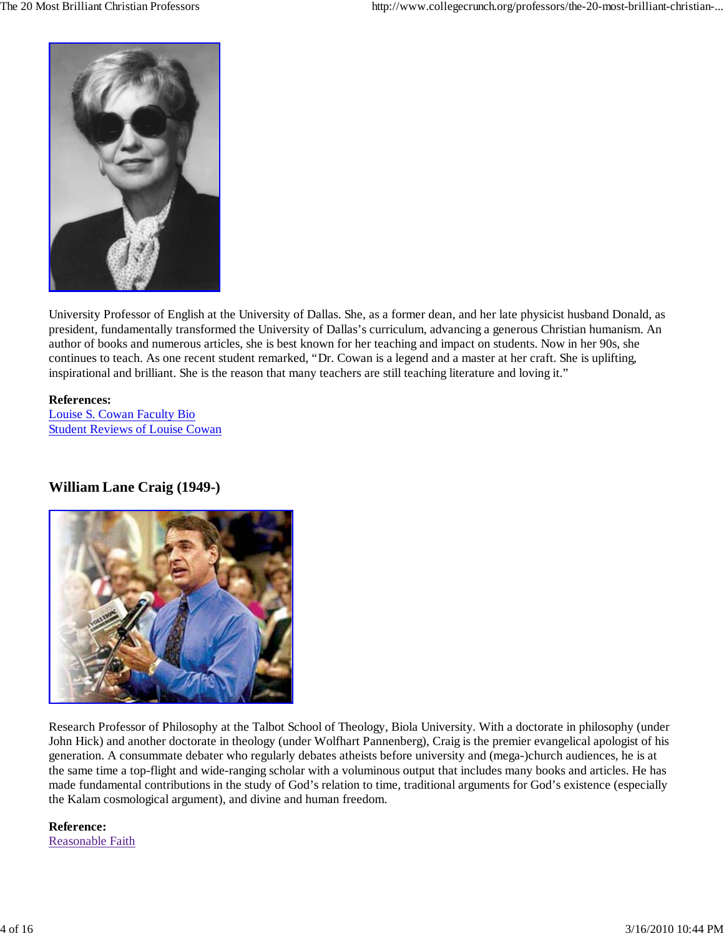

University Professor of English at the University of Dallas. She, as a former dean, and her late physicist husband Donald, as president, fundamentally transformed the University of Dallas's curriculum, advancing a generous Christian humanism. An author of books and numerous articles, she is best known for her teaching and impact on students. Now in her 90s, she continues to teach. As one recent student remarked, "Dr. Cowan is a legend and a master at her craft. She is uplifting, inspirational and brilliant. She is the reason that many teachers are still teaching literature and loving it."

## **References:**

Louise S. Cowan Faculty Bio Student Reviews of Louise Cowan

## **William Lane Craig (1949-)**



Research Professor of Philosophy at the Talbot School of Theology, Biola University. With a doctorate in philosophy (under John Hick) and another doctorate in theology (under Wolfhart Pannenberg), Craig is the premier evangelical apologist of his generation. A consummate debater who regularly debates atheists before university and (mega-)church audiences, he is at the same time a top-flight and wide-ranging scholar with a voluminous output that includes many books and articles. He has made fundamental contributions in the study of God's relation to time, traditional arguments for God's existence (especially the Kalam cosmological argument), and divine and human freedom.

**Reference:** Reasonable Faith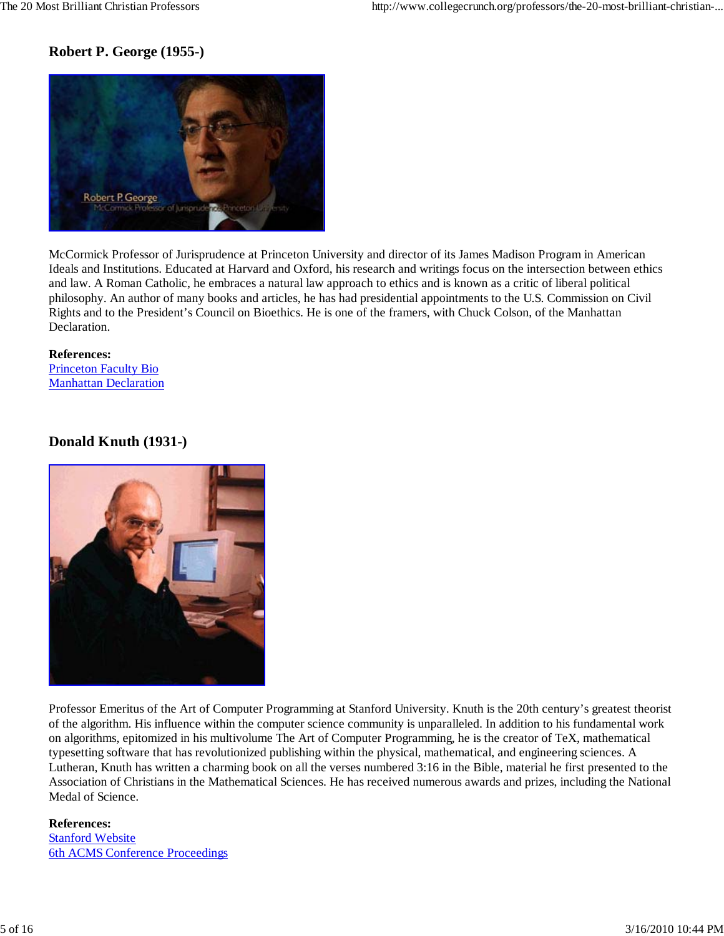## **Robert P. George (1955-)**



McCormick Professor of Jurisprudence at Princeton University and director of its James Madison Program in American Ideals and Institutions. Educated at Harvard and Oxford, his research and writings focus on the intersection between ethics and law. A Roman Catholic, he embraces a natural law approach to ethics and is known as a critic of liberal political philosophy. An author of many books and articles, he has had presidential appointments to the U.S. Commission on Civil Rights and to the President's Council on Bioethics. He is one of the framers, with Chuck Colson, of the Manhattan Declaration.

**References:** Princeton Faculty Bio Manhattan Declaration

## **Donald Knuth (1931-)**



Professor Emeritus of the Art of Computer Programming at Stanford University. Knuth is the 20th century's greatest theorist of the algorithm. His influence within the computer science community is unparalleled. In addition to his fundamental work on algorithms, epitomized in his multivolume The Art of Computer Programming, he is the creator of TeX, mathematical typesetting software that has revolutionized publishing within the physical, mathematical, and engineering sciences. A Lutheran, Knuth has written a charming book on all the verses numbered 3:16 in the Bible, material he first presented to the Association of Christians in the Mathematical Sciences. He has received numerous awards and prizes, including the National Medal of Science.

#### **References:** Stanford Website 6th ACMS Conference Proceedings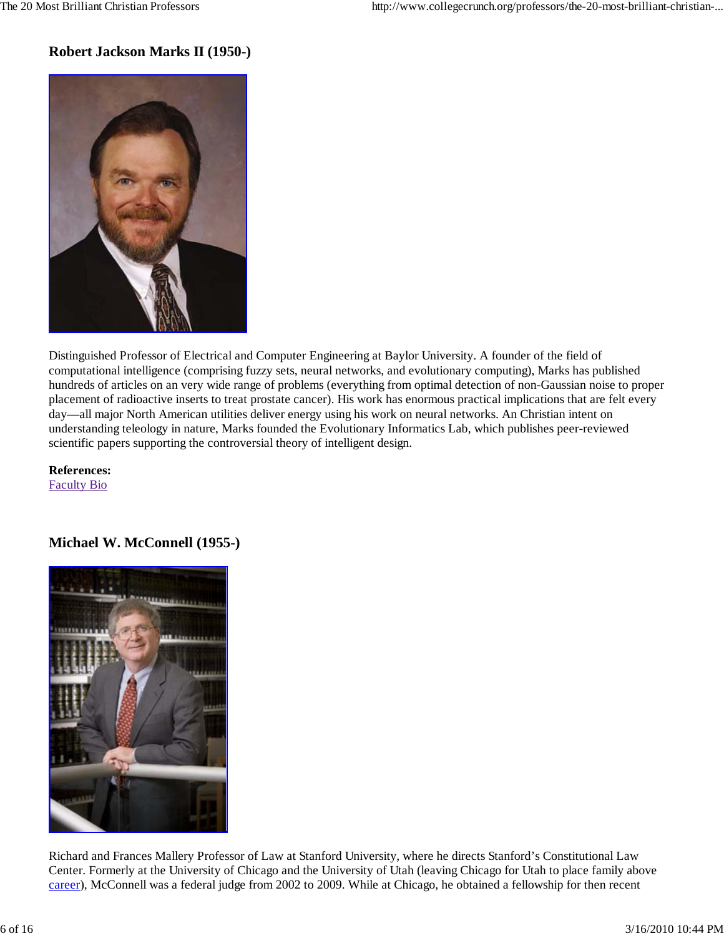## **Robert Jackson Marks II (1950-)**



Distinguished Professor of Electrical and Computer Engineering at Baylor University. A founder of the field of computational intelligence (comprising fuzzy sets, neural networks, and evolutionary computing), Marks has published hundreds of articles on an very wide range of problems (everything from optimal detection of non-Gaussian noise to proper placement of radioactive inserts to treat prostate cancer). His work has enormous practical implications that are felt every day—all major North American utilities deliver energy using his work on neural networks. An Christian intent on understanding teleology in nature, Marks founded the Evolutionary Informatics Lab, which publishes peer-reviewed scientific papers supporting the controversial theory of intelligent design.

**References:** Faculty Bio

## **Michael W. McConnell (1955-)**



Richard and Frances Mallery Professor of Law at Stanford University, where he directs Stanford's Constitutional Law Center. Formerly at the University of Chicago and the University of Utah (leaving Chicago for Utah to place family above career), McConnell was a federal judge from 2002 to 2009. While at Chicago, he obtained a fellowship for then recent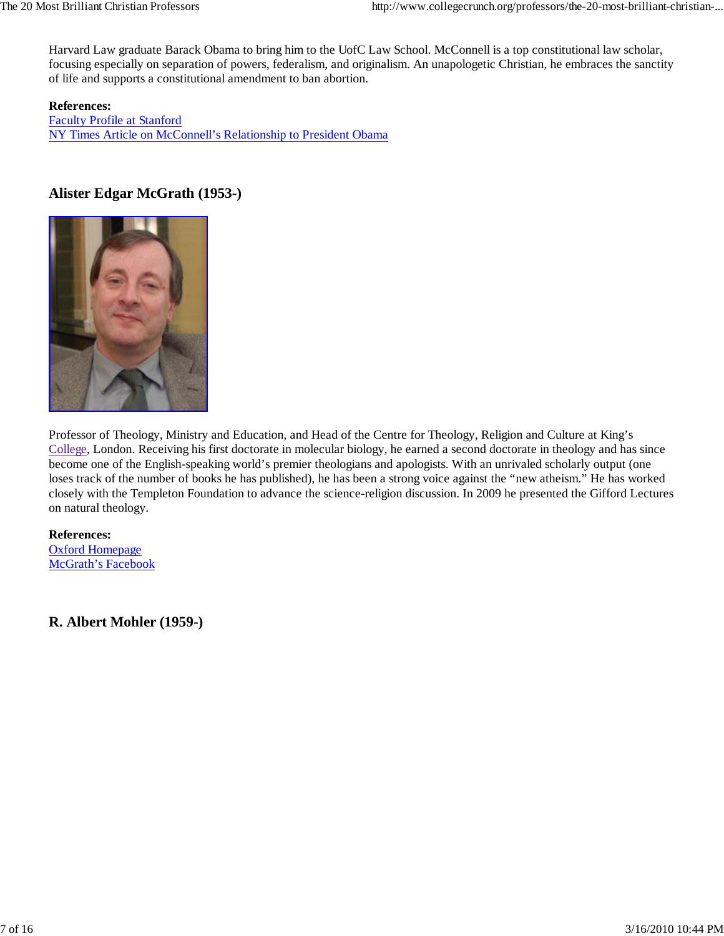Harvard Law graduate Barack Obama to bring him to the UofC Law School. McConnell is a top constitutional law scholar, focusing especially on separation of powers, federalism, and originalism. An unapologetic Christian, he embraces the sanctity of life and supports a constitutional amendment to ban abortion.

**References:** Faculty Profile at Stanford NY Times Article on McConnell's Relationship to President Obama

## **Alister Edgar McGrath (1953-)**



Professor of Theology, Ministry and Education, and Head of the Centre for Theology, Religion and Culture at King's College, London. Receiving his first doctorate in molecular biology, he earned a second doctorate in theology and has since become one of the English-speaking world's premier theologians and apologists. With an unrivaled scholarly output (one loses track of the number of books he has published), he has been a strong voice against the "new atheism." He has worked closely with the Templeton Foundation to advance the science-religion discussion. In 2009 he presented the Gifford Lectures on natural theology.

## **References:**

Oxford Homepage McGrath's Facebook

**R. Albert Mohler (1959-)**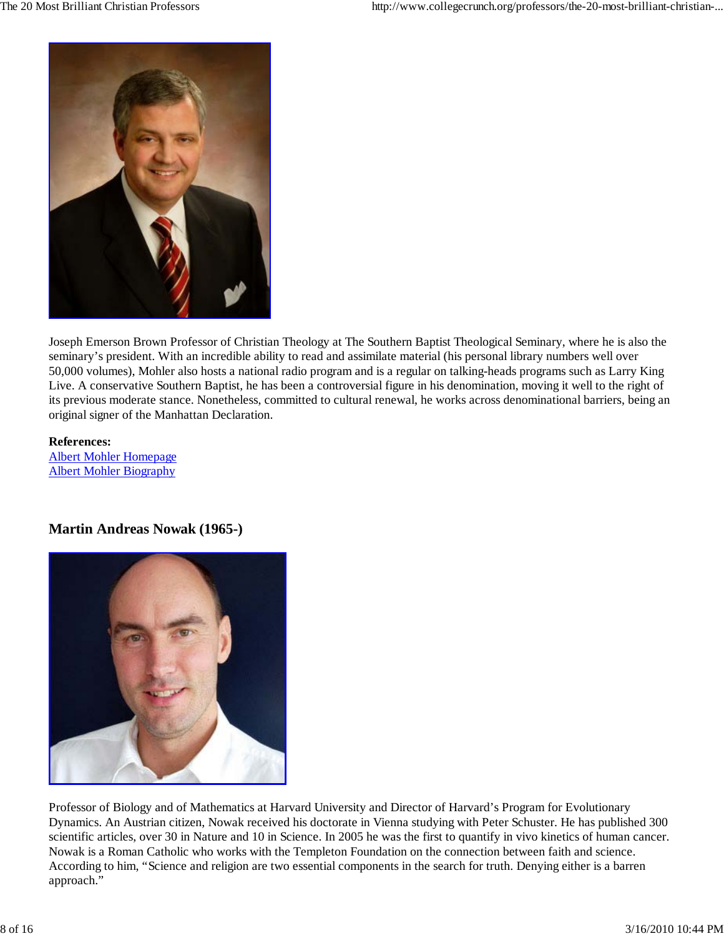

Joseph Emerson Brown Professor of Christian Theology at The Southern Baptist Theological Seminary, where he is also the seminary's president. With an incredible ability to read and assimilate material (his personal library numbers well over 50,000 volumes), Mohler also hosts a national radio program and is a regular on talking-heads programs such as Larry King Live. A conservative Southern Baptist, he has been a controversial figure in his denomination, moving it well to the right of its previous moderate stance. Nonetheless, committed to cultural renewal, he works across denominational barriers, being an original signer of the Manhattan Declaration.

**References:** Albert Mohler Homepage Albert Mohler Biography

## **Martin Andreas Nowak (1965-)**



Professor of Biology and of Mathematics at Harvard University and Director of Harvard's Program for Evolutionary Dynamics. An Austrian citizen, Nowak received his doctorate in Vienna studying with Peter Schuster. He has published 300 scientific articles, over 30 in Nature and 10 in Science. In 2005 he was the first to quantify in vivo kinetics of human cancer. Nowak is a Roman Catholic who works with the Templeton Foundation on the connection between faith and science. According to him, "Science and religion are two essential components in the search for truth. Denying either is a barren approach."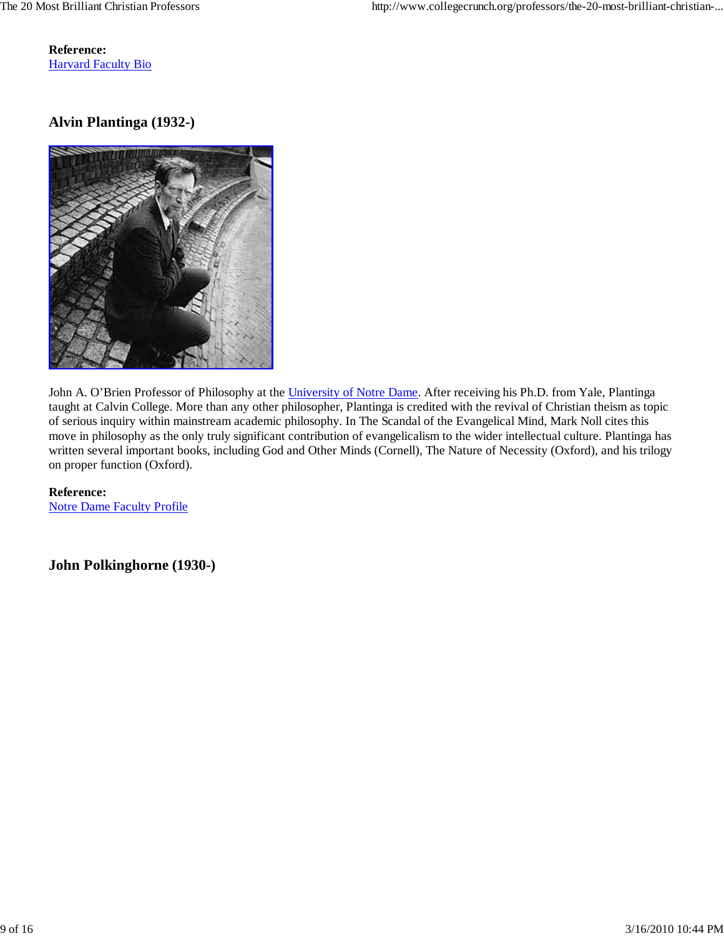**Reference:** Harvard Faculty Bio

## **Alvin Plantinga (1932-)**



John A. O'Brien Professor of Philosophy at the University of Notre Dame. After receiving his Ph.D. from Yale, Plantinga taught at Calvin College. More than any other philosopher, Plantinga is credited with the revival of Christian theism as topic of serious inquiry within mainstream academic philosophy. In The Scandal of the Evangelical Mind, Mark Noll cites this move in philosophy as the only truly significant contribution of evangelicalism to the wider intellectual culture. Plantinga has written several important books, including God and Other Minds (Cornell), The Nature of Necessity (Oxford), and his trilogy on proper function (Oxford).

**Reference:** Notre Dame Faculty Profile

**John Polkinghorne (1930-)**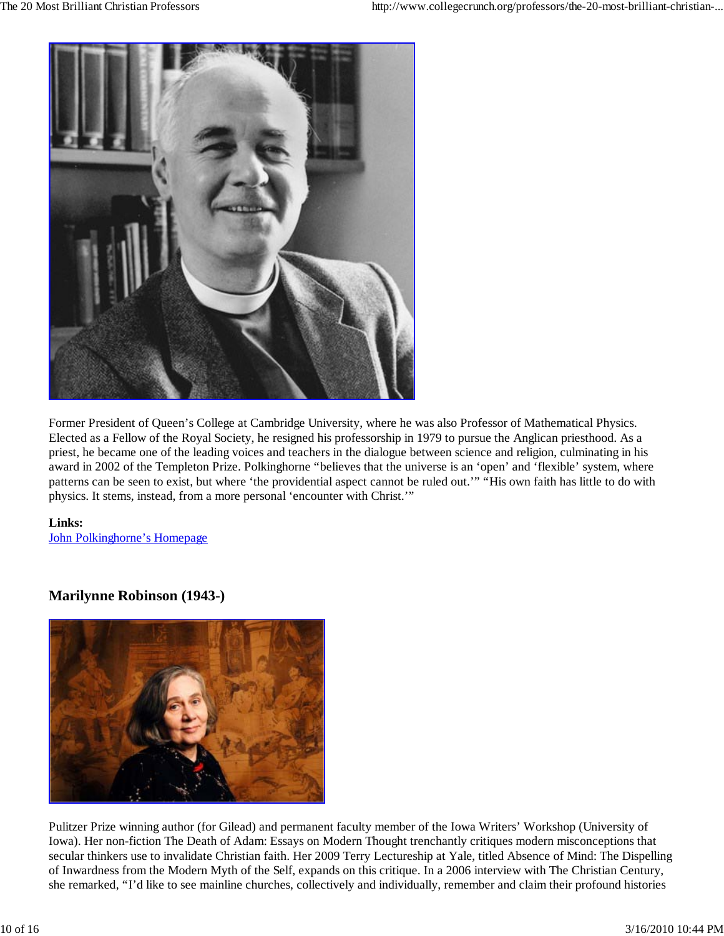

Former President of Queen's College at Cambridge University, where he was also Professor of Mathematical Physics. Elected as a Fellow of the Royal Society, he resigned his professorship in 1979 to pursue the Anglican priesthood. As a priest, he became one of the leading voices and teachers in the dialogue between science and religion, culminating in his award in 2002 of the Templeton Prize. Polkinghorne "believes that the universe is an 'open' and 'flexible' system, where patterns can be seen to exist, but where 'the providential aspect cannot be ruled out.'" "His own faith has little to do with physics. It stems, instead, from a more personal 'encounter with Christ.'"

#### **Links:** John Polkinghorne's Homepage

**Marilynne Robinson (1943-)**



Pulitzer Prize winning author (for Gilead) and permanent faculty member of the Iowa Writers' Workshop (University of Iowa). Her non-fiction The Death of Adam: Essays on Modern Thought trenchantly critiques modern misconceptions that secular thinkers use to invalidate Christian faith. Her 2009 Terry Lectureship at Yale, titled Absence of Mind: The Dispelling of Inwardness from the Modern Myth of the Self, expands on this critique. In a 2006 interview with The Christian Century, she remarked, "I'd like to see mainline churches, collectively and individually, remember and claim their profound histories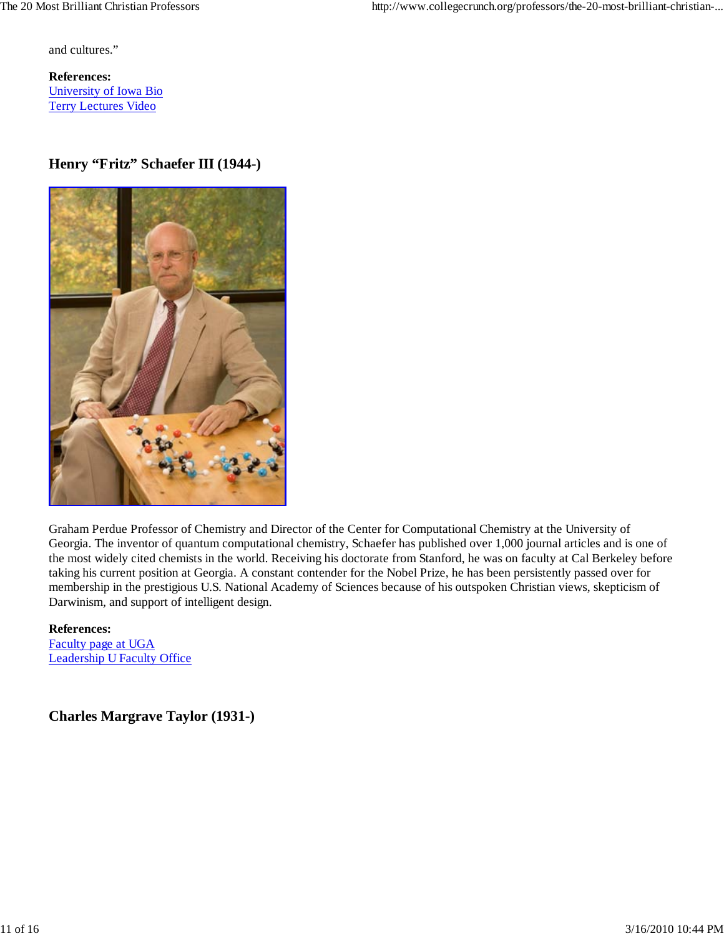and cultures."

**References:** University of Iowa Bio Terry Lectures Video

## **Henry "Fritz" Schaefer III (1944-)**



Graham Perdue Professor of Chemistry and Director of the Center for Computational Chemistry at the University of Georgia. The inventor of quantum computational chemistry, Schaefer has published over 1,000 journal articles and is one of the most widely cited chemists in the world. Receiving his doctorate from Stanford, he was on faculty at Cal Berkeley before taking his current position at Georgia. A constant contender for the Nobel Prize, he has been persistently passed over for membership in the prestigious U.S. National Academy of Sciences because of his outspoken Christian views, skepticism of Darwinism, and support of intelligent design.

**References:** Faculty page at UGA Leadership U Faculty Office

**Charles Margrave Taylor (1931-)**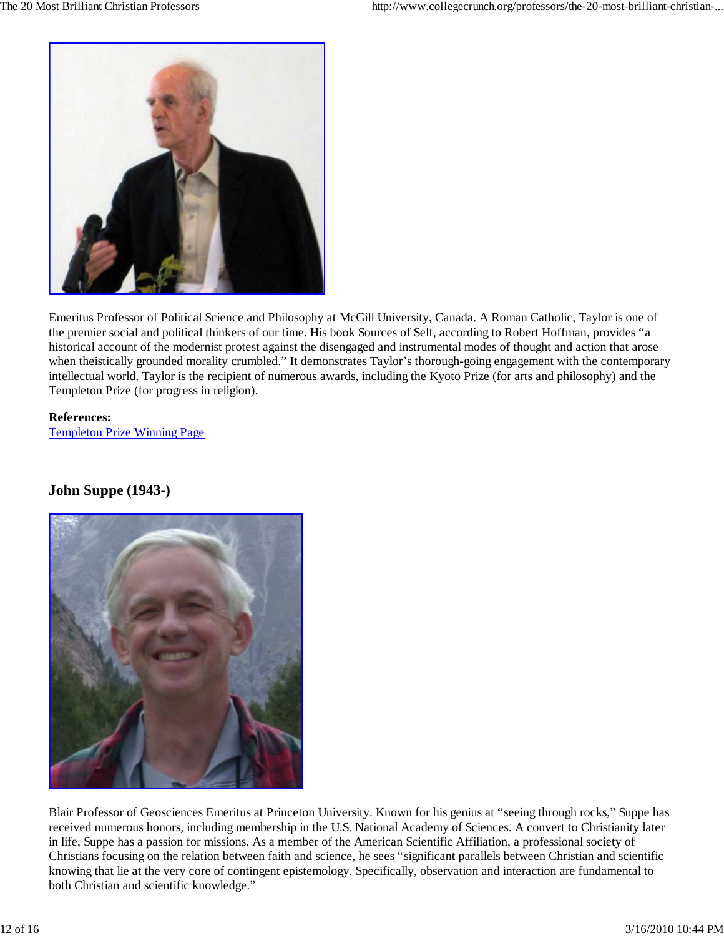

Emeritus Professor of Political Science and Philosophy at McGill University, Canada. A Roman Catholic, Taylor is one of the premier social and political thinkers of our time. His book Sources of Self, according to Robert Hoffman, provides "a historical account of the modernist protest against the disengaged and instrumental modes of thought and action that arose when theistically grounded morality crumbled." It demonstrates Taylor's thorough-going engagement with the contemporary intellectual world. Taylor is the recipient of numerous awards, including the Kyoto Prize (for arts and philosophy) and the Templeton Prize (for progress in religion).

**References:** Templeton Prize Winning Page

## **John Suppe (1943-)**



Blair Professor of Geosciences Emeritus at Princeton University. Known for his genius at "seeing through rocks," Suppe has received numerous honors, including membership in the U.S. National Academy of Sciences. A convert to Christianity later in life, Suppe has a passion for missions. As a member of the American Scientific Affiliation, a professional society of Christians focusing on the relation between faith and science, he sees "significant parallels between Christian and scientific knowing that lie at the very core of contingent epistemology. Specifically, observation and interaction are fundamental to both Christian and scientific knowledge."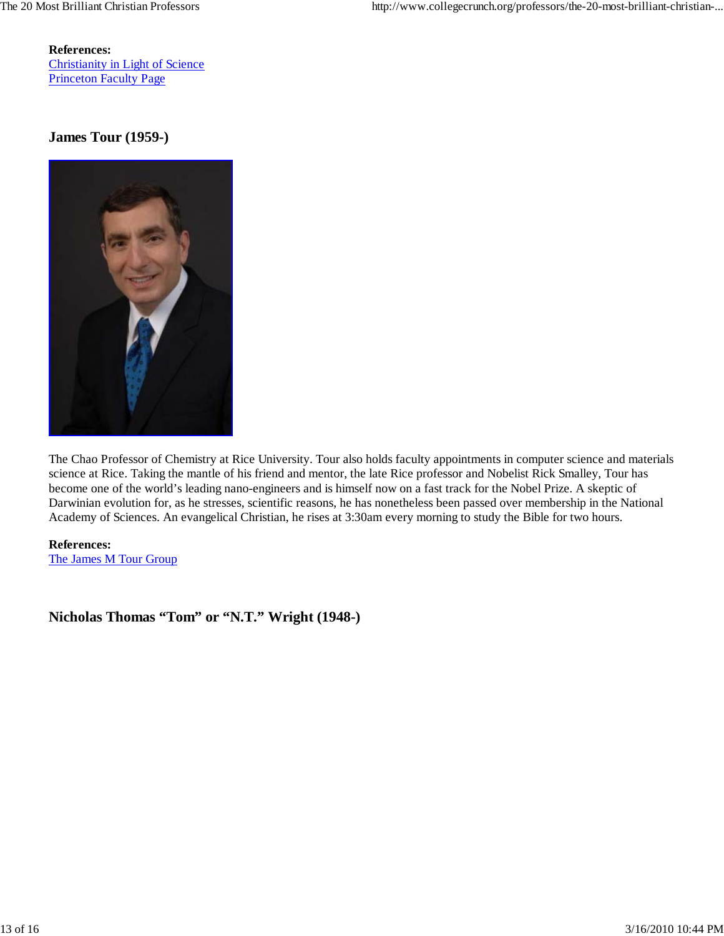**References:** Christianity in Light of Science Princeton Faculty Page

## **James Tour (1959-)**



The Chao Professor of Chemistry at Rice University. Tour also holds faculty appointments in computer science and materials science at Rice. Taking the mantle of his friend and mentor, the late Rice professor and Nobelist Rick Smalley, Tour has become one of the world's leading nano-engineers and is himself now on a fast track for the Nobel Prize. A skeptic of Darwinian evolution for, as he stresses, scientific reasons, he has nonetheless been passed over membership in the National Academy of Sciences. An evangelical Christian, he rises at 3:30am every morning to study the Bible for two hours.

**References:** The James M Tour Group

**Nicholas Thomas "Tom" or "N.T." Wright (1948-)**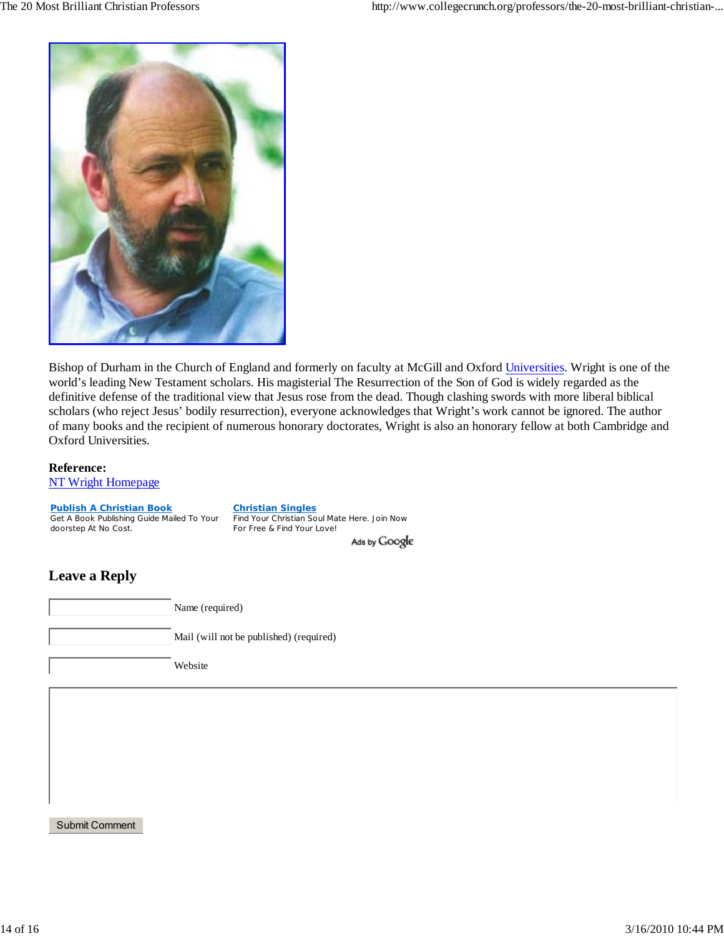

Bishop of Durham in the Church of England and formerly on faculty at McGill and Oxford Universities. Wright is one of the world's leading New Testament scholars. His magisterial The Resurrection of the Son of God is widely regarded as the definitive defense of the traditional view that Jesus rose from the dead. Though clashing swords with more liberal biblical scholars (who reject Jesus' bodily resurrection), everyone acknowledges that Wright's work cannot be ignored. The author of many books and the recipient of numerous honorary doctorates, Wright is also an honorary fellow at both Cambridge and Oxford Universities.

#### **Reference:**

NT Wright Homepage

**Christian Singles Publish A Christian Book** Get A Book Publishing Guide Mailed To Your Find Your Christian Soul Mate Here. Join Now doorstep At No Cost. For Free & Find Your Love! Ads by Google

## **Leave a Reply**

Name (required) Mail (will not be published) (required)

Website

Submit Comment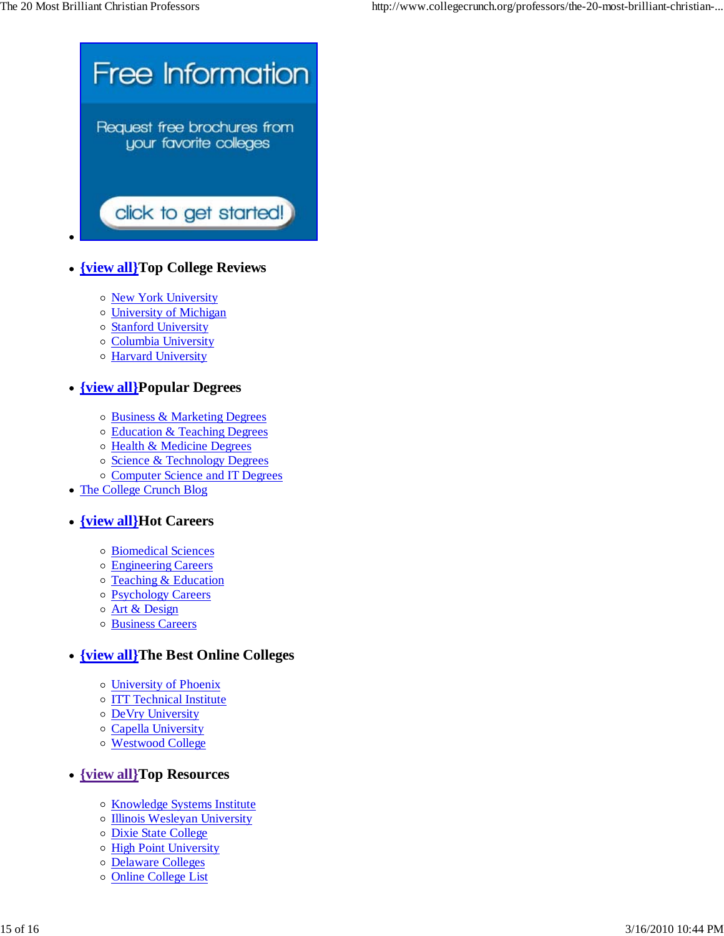

- **{view all}Top College Reviews**
	- o New York University
	- University of Michigan
	- Stanford University
	- o Columbia University
	- o **Harvard University**

## **{view all}Popular Degrees**

- Business & Marketing Degrees
- o Education & Teaching Degrees
- o Health & Medicine Degrees
- o Science & Technology Degrees
- o Computer Science and IT Degrees
- The College Crunch Blog

## **{view all}Hot Careers**

- Biomedical Sciences
- Engineering Careers
- o Teaching & Education
- o Psychology Careers
- o Art & Design
- Business Careers

## **{view all}The Best Online Colleges**

- University of Phoenix
- o **ITT Technical Institute**
- DeVry University
- o Capella University
- Westwood College

## **{view all}Top Resources**

- o Knowledge Systems Institute
- o Illinois Wesleyan University
- Dixie State College
- o High Point University
- Delaware Colleges
- o Online College List